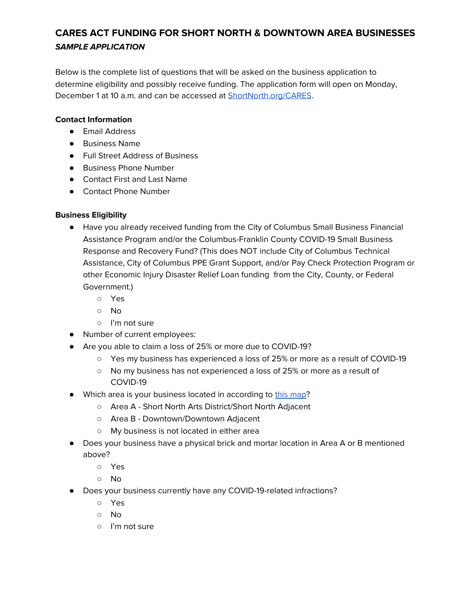Below is the complete list of questions that will be asked on the business application to determine eligibility and possibly receive funding. The application form will open on Monday, December 1 at 10 a.m. and can be accessed at **[ShortNorth.org/CARES](http://shortnorth.org/CARES).** 

#### **Contact Information**

- Email Address
- Business Name
- Full Street Address of Business
- Business Phone Number
- Contact First and Last Name
- Contact Phone Number

### **Business Eligibility**

- Have you already received funding from the City of Columbus Small Business Financial Assistance Program and/or the Columbus-Franklin County COVID-19 Small Business Response and Recovery Fund? (This does NOT include City of Columbus Technical Assistance, City of Columbus PPE Grant Support, and/or Pay Check Protection Program or other Economic Injury Disaster Relief Loan funding from the City, County, or Federal Government.)
	- Yes
	- No
	- I'm not sure
- Number of current employees:
- Are you able to claim a loss of 25% or more due to COVID-19?
	- Yes my business has experienced a loss of 25% or more as a result of COVID-19
	- No my business has not experienced a loss of 25% or more as a result of COVID-19
- Which area is your business located in according to this [map](https://drive.google.com/file/d/12ePqH2x6jjLcKYGOgT2R8hDa8BaHpZkj/view)?
	- Area A Short North Arts District/Short North Adjacent
	- Area B Downtown/Downtown Adjacent
	- My business is not located in either area
- Does your business have a physical brick and mortar location in Area A or B mentioned above?
	- Yes
	- No
- Does your business currently have any COVID-19-related infractions?
	- Yes
	- No
	- I'm not sure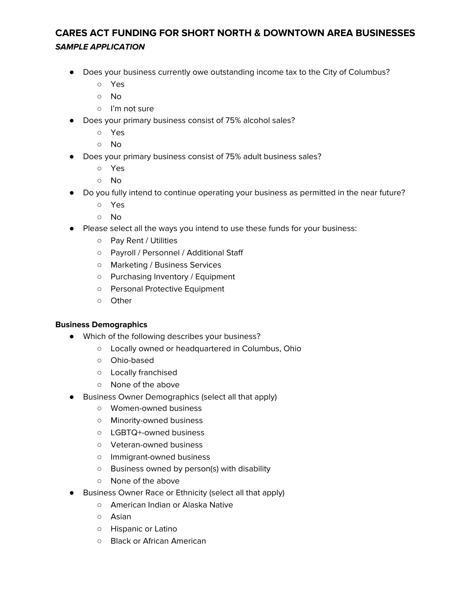- Does your business currently owe outstanding income tax to the City of Columbus?
	- Yes
	- No
	- I'm not sure
- Does your primary business consist of 75% alcohol sales?
	- Yes
	- No
- Does your primary business consist of 75% adult business sales?
	- Yes
	- No
- Do you fully intend to continue operating your business as permitted in the near future?
	- Yes
	- No
- Please select all the ways you intend to use these funds for your business:
	- Pay Rent / Utilities
	- Payroll / Personnel / Additional Staff
	- Marketing / Business Services
	- Purchasing Inventory / Equipment
	- Personal Protective Equipment
	- Other

### **Business Demographics**

- Which of the following describes your business?
	- Locally owned or headquartered in Columbus, Ohio
	- Ohio-based
	- Locally franchised
	- None of the above
- Business Owner Demographics (select all that apply)
	- Women-owned business
	- Minority-owned business
	- LGBTQ+-owned business
	- Veteran-owned business
	- Immigrant-owned business
	- Business owned by person(s) with disability
	- None of the above
- Business Owner Race or Ethnicity (select all that apply)
	- American Indian or Alaska Native
	- Asian
	- Hispanic or Latino
	- Black or African American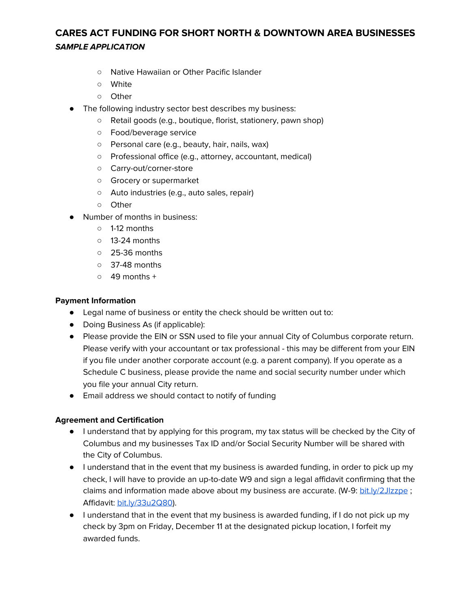- Native Hawaiian or Other Pacific Islander
- White
- Other
- The following industry sector best describes my business:
	- Retail goods (e.g., boutique, florist, stationery, pawn shop)
	- Food/beverage service
	- Personal care (e.g., beauty, hair, nails, wax)
	- Professional office (e.g., attorney, accountant, medical)
	- Carry-out/corner-store
	- Grocery or supermarket
	- Auto industries (e.g., auto sales, repair)
	- Other
- Number of months in business:
	- 1-12 months
	- 13-24 months
	- 25-36 months
	- 37-48 months
	- $\circ$  49 months +

#### **Payment Information**

- Legal name of business or entity the check should be written out to:
- Doing Business As (if applicable):
- Please provide the EIN or SSN used to file your annual City of Columbus corporate return. Please verify with your accountant or tax professional - this may be different from your EIN if you file under another corporate account (e.g. a parent company). If you operate as a Schedule C business, please provide the name and social security number under which you file your annual City return.
- Email address we should contact to notify of funding

#### **Agreement and Certification**

- I understand that by applying for this program, my tax status will be checked by the City of Columbus and my businesses Tax ID and/or Social Security Number will be shared with the City of Columbus.
- I understand that in the event that my business is awarded funding, in order to pick up my check, I will have to provide an up-to-date W9 and sign a legal affidavit confirming that the claims and information made above about my business are accurate. (W-9: [bit.ly/2Jlzzpe](http://bit.ly/2Jlzzpe); Affidavit: [bit.ly/33u2Q80](http://bit.ly/33u2Q80)).
- I understand that in the event that my business is awarded funding, if I do not pick up my check by 3pm on Friday, December 11 at the designated pickup location, I forfeit my awarded funds.